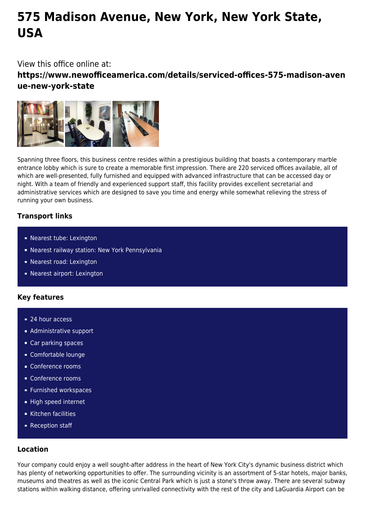# **575 Madison Avenue, New York, New York State, USA**

## View this office online at:

**https://www.newofficeamerica.com/details/serviced-offices-575-madison-aven ue-new-york-state**



Spanning three floors, this business centre resides within a prestigious building that boasts a contemporary marble entrance lobby which is sure to create a memorable first impression. There are 220 serviced offices available, all of which are well-presented, fully furnished and equipped with advanced infrastructure that can be accessed day or night. With a team of friendly and experienced support staff, this facility provides excellent secretarial and administrative services which are designed to save you time and energy while somewhat relieving the stress of running your own business.

### **Transport links**

- Nearest tube: Lexington
- Nearest railway station: New York Pennsylvania
- Nearest road: Lexington
- Nearest airport: Lexington

#### **Key features**

- 24 hour access
- **Administrative support**
- Car parking spaces
- Comfortable lounge
- Conference rooms
- Conference rooms
- **Furnished workspaces**
- High speed internet
- Kitchen facilities
- **Reception staff**

#### **Location**

Your company could enjoy a well sought-after address in the heart of New York City's dynamic business district which has plenty of networking opportunities to offer. The surrounding vicinity is an assortment of 5-star hotels, major banks, museums and theatres as well as the iconic Central Park which is just a stone's throw away. There are several subway stations within walking distance, offering unrivalled connectivity with the rest of the city and LaGuardia Airport can be